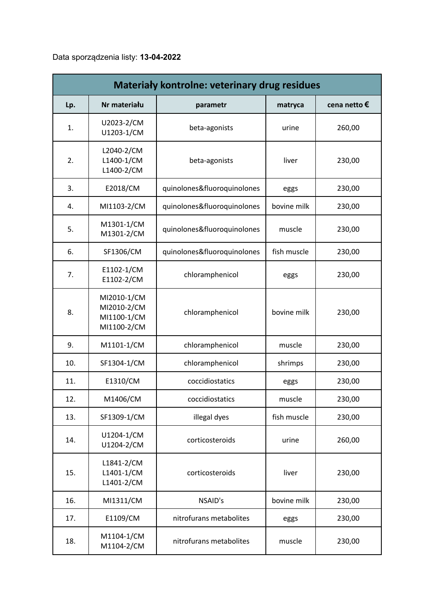## Data sporządzenia listy: **13-04-2022**

| <b>Materialy kontrolne: veterinary drug residues</b> |                                                          |                             |             |              |
|------------------------------------------------------|----------------------------------------------------------|-----------------------------|-------------|--------------|
| Lp.                                                  | Nr materiału                                             | parametr                    | matryca     | cena netto € |
| 1.                                                   | U2023-2/CM<br>U1203-1/CM                                 | beta-agonists               | urine       | 260,00       |
| 2.                                                   | L2040-2/CM<br>L1400-1/CM<br>L1400-2/CM                   | beta-agonists               | liver       | 230,00       |
| 3.                                                   | E2018/CM                                                 | quinolones&fluoroquinolones | eggs        | 230,00       |
| 4.                                                   | MI1103-2/CM                                              | quinolones&fluoroquinolones | bovine milk | 230,00       |
| 5.                                                   | M1301-1/CM<br>M1301-2/CM                                 | quinolones&fluoroquinolones | muscle      | 230,00       |
| 6.                                                   | SF1306/CM                                                | quinolones&fluoroquinolones | fish muscle | 230,00       |
| 7.                                                   | E1102-1/CM<br>E1102-2/CM                                 | chloramphenicol             | eggs        | 230,00       |
| 8.                                                   | MI2010-1/CM<br>MI2010-2/CM<br>MI1100-1/CM<br>MI1100-2/CM | chloramphenicol             | bovine milk | 230,00       |
| 9.                                                   | M1101-1/CM                                               | chloramphenicol             | muscle      | 230,00       |
| 10.                                                  | SF1304-1/CM                                              | chloramphenicol             | shrimps     | 230,00       |
| 11.                                                  | E1310/CM                                                 | coccidiostatics             | eggs        | 230,00       |
| 12.                                                  | M1406/CM                                                 | coccidiostatics             | muscle      | 230,00       |
| 13.                                                  | SF1309-1/CM                                              | illegal dyes                | fish muscle | 230,00       |
| 14.                                                  | U1204-1/CM<br>U1204-2/CM                                 | corticosteroids             | urine       | 260,00       |
| 15.                                                  | L1841-2/CM<br>L1401-1/CM<br>L1401-2/CM                   | corticosteroids             | liver       | 230,00       |
| 16.                                                  | MI1311/CM                                                | NSAID's                     | bovine milk | 230,00       |
| 17.                                                  | E1109/CM                                                 | nitrofurans metabolites     | eggs        | 230,00       |
| 18.                                                  | M1104-1/CM<br>M1104-2/CM                                 | nitrofurans metabolites     | muscle      | 230,00       |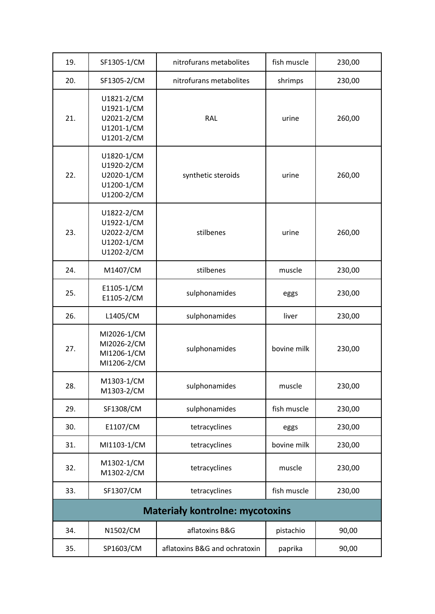| 19.                                    | SF1305-1/CM                                                        | nitrofurans metabolites       | fish muscle | 230,00 |
|----------------------------------------|--------------------------------------------------------------------|-------------------------------|-------------|--------|
| 20.                                    | SF1305-2/CM                                                        | nitrofurans metabolites       | shrimps     | 230,00 |
| 21.                                    | U1821-2/CM<br>U1921-1/CM<br>U2021-2/CM<br>U1201-1/CM<br>U1201-2/CM | <b>RAL</b>                    | urine       | 260,00 |
| 22.                                    | U1820-1/CM<br>U1920-2/CM<br>U2020-1/CM<br>U1200-1/CM<br>U1200-2/CM | synthetic steroids            | urine       | 260,00 |
| 23.                                    | U1822-2/CM<br>U1922-1/CM<br>U2022-2/CM<br>U1202-1/CM<br>U1202-2/CM | stilbenes                     | urine       | 260,00 |
| 24.                                    | M1407/CM                                                           | stilbenes                     | muscle      | 230,00 |
| 25.                                    | E1105-1/CM<br>E1105-2/CM                                           | sulphonamides                 | eggs        | 230,00 |
| 26.                                    | L1405/CM                                                           | sulphonamides                 | liver       | 230,00 |
| 27.                                    | MI2026-1/CM<br>MI2026-2/CM<br>MI1206-1/CM<br>MI1206-2/CM           | sulphonamides                 | bovine milk | 230,00 |
| 28.                                    | M1303-1/CM<br>M1303-2/CM                                           | sulphonamides                 | muscle      | 230,00 |
| 29.                                    | SF1308/CM                                                          | sulphonamides                 | fish muscle | 230,00 |
| 30.                                    | E1107/CM                                                           | tetracyclines                 | eggs        | 230,00 |
| 31.                                    | MI1103-1/CM                                                        | tetracyclines                 | bovine milk | 230,00 |
| 32.                                    | M1302-1/CM<br>M1302-2/CM                                           | tetracyclines                 | muscle      | 230,00 |
| 33.                                    | SF1307/CM                                                          | tetracyclines                 | fish muscle | 230,00 |
| <b>Materiały kontrolne: mycotoxins</b> |                                                                    |                               |             |        |
| 34.                                    | N1502/CM                                                           | aflatoxins B&G                | pistachio   | 90,00  |
| 35.                                    | SP1603/CM                                                          | aflatoxins B&G and ochratoxin | paprika     | 90,00  |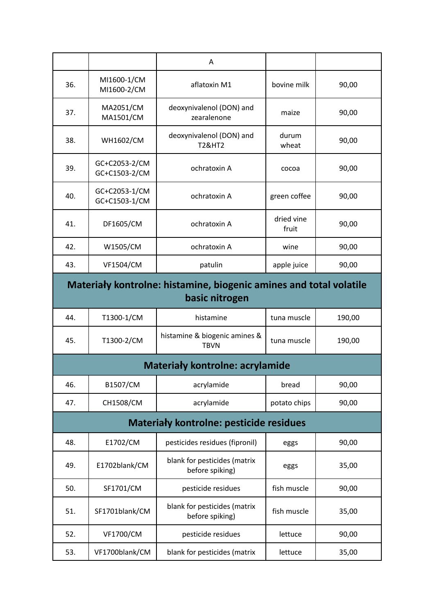|                                                                                      |                                | A                                               |                     |        |  |
|--------------------------------------------------------------------------------------|--------------------------------|-------------------------------------------------|---------------------|--------|--|
| 36.                                                                                  | MI1600-1/CM<br>MI1600-2/CM     | aflatoxin M1                                    | bovine milk         | 90,00  |  |
| 37.                                                                                  | MA2051/CM<br>MA1501/CM         | deoxynivalenol (DON) and<br>zearalenone         | maize               | 90,00  |  |
| 38.                                                                                  | <b>WH1602/CM</b>               | deoxynivalenol (DON) and<br><b>T2&amp;HT2</b>   | durum<br>wheat      | 90,00  |  |
| 39.                                                                                  | GC+C2053-2/CM<br>GC+C1503-2/CM | ochratoxin A                                    | cocoa               | 90,00  |  |
| 40.                                                                                  | GC+C2053-1/CM<br>GC+C1503-1/CM | ochratoxin A                                    | green coffee        | 90,00  |  |
| 41.                                                                                  | DF1605/CM                      | ochratoxin A                                    | dried vine<br>fruit | 90,00  |  |
| 42.                                                                                  | W1505/CM                       | ochratoxin A                                    | wine                | 90,00  |  |
| 43.                                                                                  | <b>VF1504/CM</b>               | patulin                                         | apple juice         | 90,00  |  |
| Materiały kontrolne: histamine, biogenic amines and total volatile<br>basic nitrogen |                                |                                                 |                     |        |  |
| 44.                                                                                  | T1300-1/CM                     | histamine                                       | tuna muscle         | 190,00 |  |
| 45.                                                                                  | T1300-2/CM                     | histamine & biogenic amines &<br><b>TBVN</b>    | tuna muscle         | 190,00 |  |
| <b>Materiały kontrolne: acrylamide</b>                                               |                                |                                                 |                     |        |  |
| 46.                                                                                  | B1507/CM                       | acrylamide                                      | bread               | 90,00  |  |
| 47.                                                                                  | CH1508/CM                      | acrylamide                                      | potato chips        | 90,00  |  |
| <b>Materiały kontrolne: pesticide residues</b>                                       |                                |                                                 |                     |        |  |
| 48.                                                                                  | E1702/CM                       | pesticides residues (fipronil)                  | eggs                | 90,00  |  |
| 49.                                                                                  | E1702blank/CM                  | blank for pesticides (matrix<br>before spiking) | eggs                | 35,00  |  |
| 50.                                                                                  | SF1701/CM                      | pesticide residues                              | fish muscle         | 90,00  |  |
| 51.                                                                                  | SF1701blank/CM                 | blank for pesticides (matrix<br>before spiking) | fish muscle         | 35,00  |  |
| 52.                                                                                  | <b>VF1700/CM</b>               | pesticide residues                              | lettuce             | 90,00  |  |
| 53.                                                                                  | VF1700blank/CM                 | blank for pesticides (matrix                    | lettuce             | 35,00  |  |